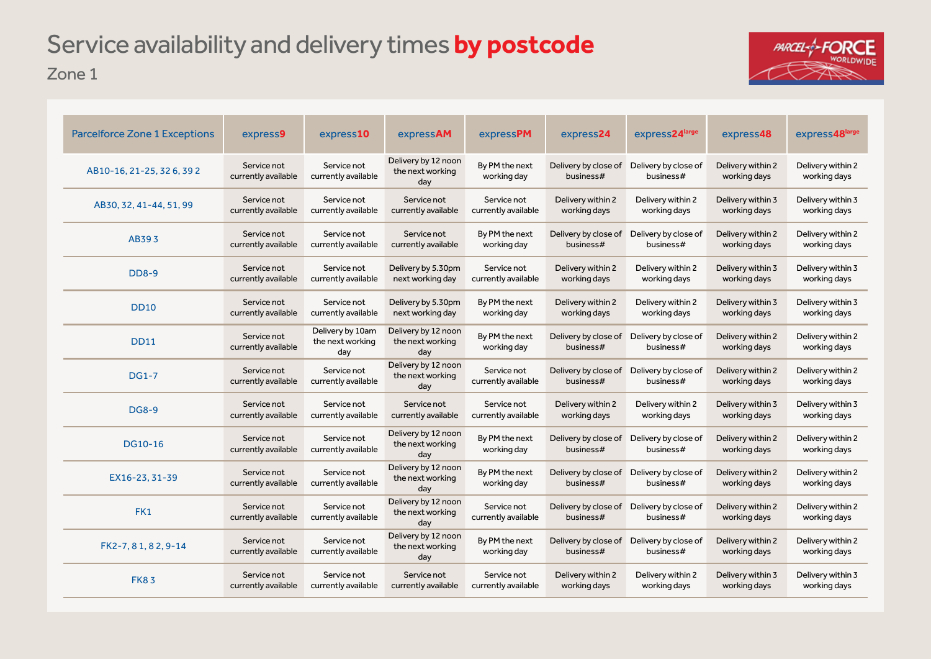## Zone 1 Service availability and delivery times **by postcode**



| <b>Parcelforce Zone 1 Exceptions</b> | express9                           | express10                                   | expressAM                                      | expressPM                          | express24                         | express24large                    | express48                         | express48large                    |
|--------------------------------------|------------------------------------|---------------------------------------------|------------------------------------------------|------------------------------------|-----------------------------------|-----------------------------------|-----------------------------------|-----------------------------------|
| AB10-16, 21-25, 326, 392             | Service not<br>currently available | Service not<br>currently available          | Delivery by 12 noon<br>the next working<br>day | By PM the next<br>working day      | Delivery by close of<br>business# | Delivery by close of<br>business# | Delivery within 2<br>working days | Delivery within 2<br>working days |
| AB30, 32, 41-44, 51, 99              | Service not<br>currently available | Service not<br>currently available          | Service not<br>currently available             | Service not<br>currently available | Delivery within 2<br>working days | Delivery within 2<br>working days | Delivery within 3<br>working days | Delivery within 3<br>working days |
| AB393                                | Service not<br>currently available | Service not<br>currently available          | Service not<br>currently available             | By PM the next<br>working day      | Delivery by close of<br>business# | Delivery by close of<br>business# | Delivery within 2<br>working days | Delivery within 2<br>working days |
| <b>DD8-9</b>                         | Service not<br>currently available | Service not<br>currently available          | Delivery by 5.30pm<br>next working day         | Service not<br>currently available | Delivery within 2<br>working days | Delivery within 2<br>working days | Delivery within 3<br>working days | Delivery within 3<br>working days |
| <b>DD10</b>                          | Service not<br>currently available | Service not<br>currently available          | Delivery by 5.30pm<br>next working day         | By PM the next<br>working day      | Delivery within 2<br>working days | Delivery within 2<br>working days | Delivery within 3<br>working days | Delivery within 3<br>working days |
| <b>DD11</b>                          | Service not<br>currently available | Delivery by 10am<br>the next working<br>day | Delivery by 12 noon<br>the next working<br>day | By PM the next<br>working day      | Delivery by close of<br>business# | Delivery by close of<br>business# | Delivery within 2<br>working days | Delivery within 2<br>working days |
| $DG1-7$                              | Service not<br>currently available | Service not<br>currently available          | Delivery by 12 noon<br>the next working<br>day | Service not<br>currently available | Delivery by close of<br>business# | Delivery by close of<br>business# | Delivery within 2<br>working days | Delivery within 2<br>working days |
| <b>DG8-9</b>                         | Service not<br>currently available | Service not<br>currently available          | Service not<br>currently available             | Service not<br>currently available | Delivery within 2<br>working days | Delivery within 2<br>working days | Delivery within 3<br>working days | Delivery within 3<br>working days |
| <b>DG10-16</b>                       | Service not<br>currently available | Service not<br>currently available          | Delivery by 12 noon<br>the next working<br>day | By PM the next<br>working day      | Delivery by close of<br>business# | Delivery by close of<br>business# | Delivery within 2<br>working days | Delivery within 2<br>working days |
| EX16-23, 31-39                       | Service not<br>currently available | Service not<br>currently available          | Delivery by 12 noon<br>the next working<br>day | By PM the next<br>working day      | Delivery by close of<br>business# | Delivery by close of<br>business# | Delivery within 2<br>working days | Delivery within 2<br>working days |
| FK1                                  | Service not<br>currently available | Service not<br>currently available          | Delivery by 12 noon<br>the next working<br>day | Service not<br>currently available | Delivery by close of<br>business# | Delivery by close of<br>business# | Delivery within 2<br>working days | Delivery within 2<br>working days |
| FK2-7, 81, 82, 9-14                  | Service not<br>currently available | Service not<br>currently available          | Delivery by 12 noon<br>the next working<br>day | By PM the next<br>working day      | Delivery by close of<br>business# | Delivery by close of<br>business# | Delivery within 2<br>working days | Delivery within 2<br>working days |
| <b>FK83</b>                          | Service not<br>currently available | Service not<br>currently available          | Service not<br>currently available             | Service not<br>currently available | Delivery within 2<br>working days | Delivery within 2<br>working days | Delivery within 3<br>working days | Delivery within 3<br>working days |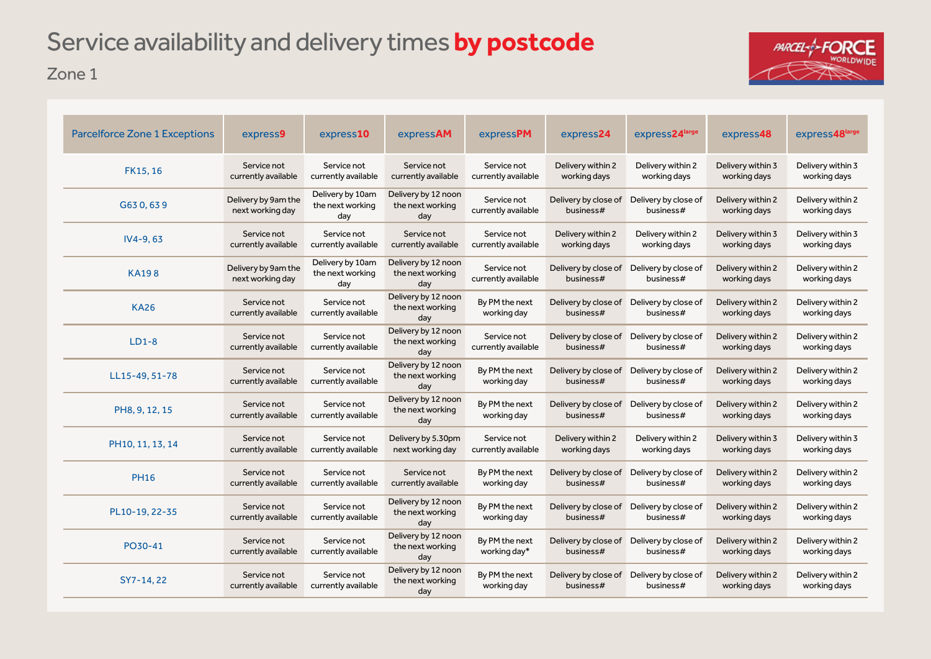# Service availability and delivery times **by postcode**

Zone 1



| <b>Parcelforce Zone 1 Exceptions</b> | express9                                | express10                                   | expressAM                                      | expressPM                          | express24                         | express24large                    | express48                         | express48large                    |
|--------------------------------------|-----------------------------------------|---------------------------------------------|------------------------------------------------|------------------------------------|-----------------------------------|-----------------------------------|-----------------------------------|-----------------------------------|
| FK15, 16                             | Service not<br>currently available      | Service not<br>currently available          | Service not<br>currently available             | Service not<br>currently available | Delivery within 2<br>working days | Delivery within 2<br>working days | Delivery within 3<br>working days | Delivery within 3<br>working days |
| G630,639                             | Delivery by 9am the<br>next working day | Delivery by 10am<br>the next working<br>day | Delivery by 12 noon<br>the next working<br>day | Service not<br>currently available | Delivery by close of<br>business# | Delivery by close of<br>business# | Delivery within 2<br>working days | Delivery within 2<br>working days |
| $IV4-9, 63$                          | Service not<br>currently available      | Service not<br>currently available          | Service not<br>currently available             | Service not<br>currently available | Delivery within 2<br>working days | Delivery within 2<br>working days | Delivery within 3<br>working days | Delivery within 3<br>working days |
| <b>KA198</b>                         | Delivery by 9am the<br>next working day | Delivery by 10am<br>the next working<br>day | Delivery by 12 noon<br>the next working<br>day | Service not<br>currently available | Delivery by close of<br>business# | Delivery by close of<br>business# | Delivery within 2<br>working days | Delivery within 2<br>working days |
| <b>KA26</b>                          | Service not<br>currently available      | Service not<br>currently available          | Delivery by 12 noon<br>the next working<br>day | By PM the next<br>working day      | Delivery by close of<br>business# | Delivery by close of<br>business# | Delivery within 2<br>working days | Delivery within 2<br>working days |
| $LD1-8$                              | Service not<br>currently available      | Service not<br>currently available          | Delivery by 12 noon<br>the next working<br>day | Service not<br>currently available | Delivery by close of<br>business# | Delivery by close of<br>business# | Delivery within 2<br>working days | Delivery within 2<br>working days |
| LL15-49, 51-78                       | Service not<br>currently available      | Service not<br>currently available          | Delivery by 12 noon<br>the next working<br>day | By PM the next<br>working day      | Delivery by close of<br>business# | Delivery by close of<br>business# | Delivery within 2<br>working days | Delivery within 2<br>working days |
| PH8, 9, 12, 15                       | Service not<br>currently available      | Service not<br>currently available          | Delivery by 12 noon<br>the next working<br>day | By PM the next<br>working day      | Delivery by close of<br>business# | Delivery by close of<br>business# | Delivery within 2<br>working days | Delivery within 2<br>working days |
| PH10, 11, 13, 14                     | Service not<br>currently available      | Service not<br>currently available          | Delivery by 5.30pm<br>next working day         | Service not<br>currently available | Delivery within 2<br>working days | Delivery within 2<br>working days | Delivery within 3<br>working days | Delivery within 3<br>working days |
| <b>PH16</b>                          | Service not<br>currently available      | Service not<br>currently available          | Service not<br>currently available             | By PM the next<br>working day      | Delivery by close of<br>business# | Delivery by close of<br>business# | Delivery within 2<br>working days | Delivery within 2<br>working days |
| PL10-19, 22-35                       | Service not<br>currently available      | Service not<br>currently available          | Delivery by 12 noon<br>the next working<br>day | By PM the next<br>working day      | Delivery by close of<br>business# | Delivery by close of<br>business# | Delivery within 2<br>working days | Delivery within 2<br>working days |
| PO30-41                              | Service not<br>currently available      | Service not<br>currently available          | Delivery by 12 noon<br>the next working<br>day | By PM the next<br>working day*     | Delivery by close of<br>business# | Delivery by close of<br>business# | Delivery within 2<br>working days | Delivery within 2<br>working days |
| SY7-14, 22                           | Service not<br>currently available      | Service not<br>currently available          | Delivery by 12 noon<br>the next working<br>day | By PM the next<br>working day      | Delivery by close of<br>business# | Delivery by close of<br>business# | Delivery within 2<br>working days | Delivery within 2<br>working days |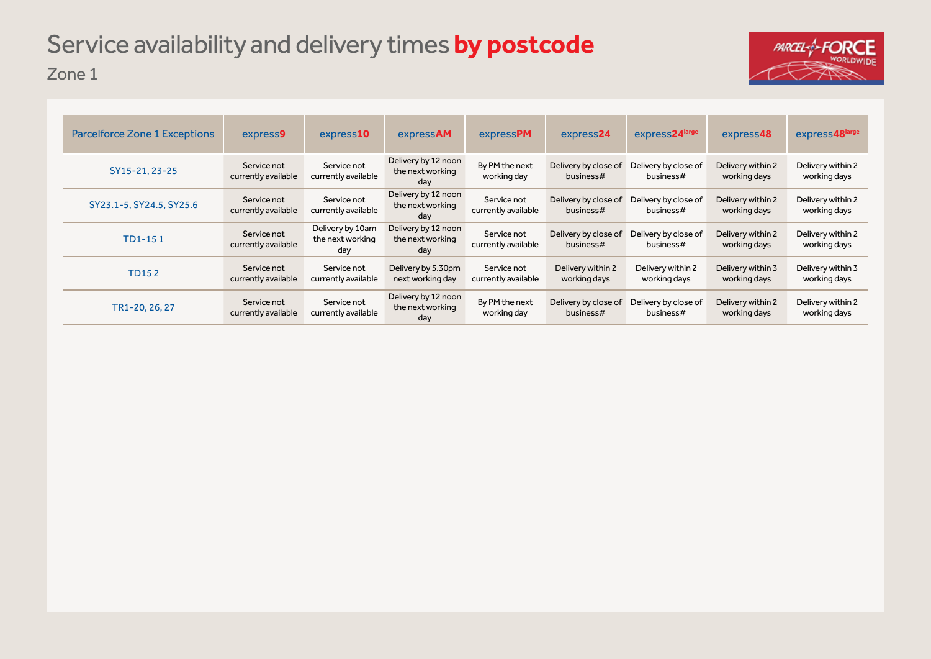## Zone 1 Service availability and delivery times **by postcode**



| <b>Parcelforce Zone 1 Exceptions</b> | express9                           | express <b>10</b>                           | expressAM                                      | expressPM                          | express24                         | express24large                    | express48                         | express48large                    |
|--------------------------------------|------------------------------------|---------------------------------------------|------------------------------------------------|------------------------------------|-----------------------------------|-----------------------------------|-----------------------------------|-----------------------------------|
| SY15-21, 23-25                       | Service not<br>currently available | Service not<br>currently available          | Delivery by 12 noon<br>the next working<br>day | By PM the next<br>working day      | Delivery by close of<br>business# | Delivery by close of<br>business# | Delivery within 2<br>working days | Delivery within 2<br>working days |
| SY23.1-5, SY24.5, SY25.6             | Service not<br>currently available | Service not<br>currently available          | Delivery by 12 noon<br>the next working<br>day | Service not<br>currently available | Delivery by close of<br>business# | Delivery by close of<br>business# | Delivery within 2<br>working days | Delivery within 2<br>working days |
| TD1-151                              | Service not<br>currently available | Delivery by 10am<br>the next working<br>day | Delivery by 12 noon<br>the next working<br>day | Service not<br>currently available | Delivery by close of<br>business# | Delivery by close of<br>business# | Delivery within 2<br>working days | Delivery within 2<br>working days |
| TD152                                | Service not<br>currently available | Service not<br>currently available          | Delivery by 5.30pm<br>next working day         | Service not<br>currently available | Delivery within 2<br>working days | Delivery within 2<br>working days | Delivery within 3<br>working days | Delivery within 3<br>working days |
| TR1-20, 26, 27                       | Service not<br>currently available | Service not<br>currently available          | Delivery by 12 noon<br>the next working<br>day | By PM the next<br>working day      | Delivery by close of<br>business# | Delivery by close of<br>business# | Delivery within 2<br>working days | Delivery within 2<br>working days |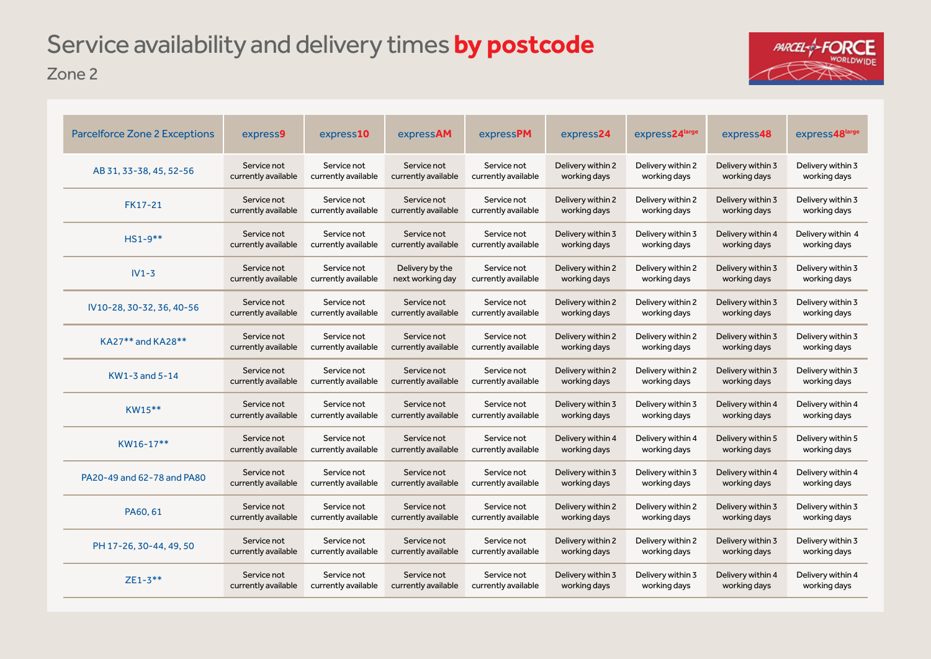## Zone 2 Service availability and delivery times **by postcode**



| <b>Parcelforce Zone 2 Exceptions</b> | express9            | express10           | expressAM           | expressPM           | express24         | express24large    | express48         | express48large    |
|--------------------------------------|---------------------|---------------------|---------------------|---------------------|-------------------|-------------------|-------------------|-------------------|
| AB 31, 33-38, 45, 52-56              | Service not         | Service not         | Service not         | Service not         | Delivery within 2 | Delivery within 2 | Delivery within 3 | Delivery within 3 |
|                                      | currently available | currently available | currently available | currently available | working days      | working days      | working days      | working days      |
| FK17-21                              | Service not         | Service not         | Service not         | Service not         | Delivery within 2 | Delivery within 2 | Delivery within 3 | Delivery within 3 |
|                                      | currently available | currently available | currently available | currently available | working days      | working days      | working days      | working days      |
| $HS1-9**$                            | Service not         | Service not         | Service not         | Service not         | Delivery within 3 | Delivery within 3 | Delivery within 4 | Delivery within 4 |
|                                      | currently available | currently available | currently available | currently available | working days      | working days      | working days      | working days      |
| $IV1-3$                              | Service not         | Service not         | Delivery by the     | Service not         | Delivery within 2 | Delivery within 2 | Delivery within 3 | Delivery within 3 |
|                                      | currently available | currently available | next working day    | currently available | working days      | working days      | working days      | working days      |
| IV10-28, 30-32, 36, 40-56            | Service not         | Service not         | Service not         | Service not         | Delivery within 2 | Delivery within 2 | Delivery within 3 | Delivery within 3 |
|                                      | currently available | currently available | currently available | currently available | working days      | working days      | working days      | working days      |
| KA27** and KA28**                    | Service not         | Service not         | Service not         | Service not         | Delivery within 2 | Delivery within 2 | Delivery within 3 | Delivery within 3 |
|                                      | currently available | currently available | currently available | currently available | working days      | working days      | working days      | working days      |
| KW1-3 and 5-14                       | Service not         | Service not         | Service not         | Service not         | Delivery within 2 | Delivery within 2 | Delivery within 3 | Delivery within 3 |
|                                      | currently available | currently available | currently available | currently available | working days      | working days      | working days      | working days      |
| KW15**                               | Service not         | Service not         | Service not         | Service not         | Delivery within 3 | Delivery within 3 | Delivery within 4 | Delivery within 4 |
|                                      | currently available | currently available | currently available | currently available | working days      | working days      | working days      | working days      |
| $KW16-17**$                          | Service not         | Service not         | Service not         | Service not         | Delivery within 4 | Delivery within 4 | Delivery within 5 | Delivery within 5 |
|                                      | currently available | currently available | currently available | currently available | working days      | working days      | working days      | working days      |
| PA20-49 and 62-78 and PA80           | Service not         | Service not         | Service not         | Service not         | Delivery within 3 | Delivery within 3 | Delivery within 4 | Delivery within 4 |
|                                      | currently available | currently available | currently available | currently available | working days      | working days      | working days      | working days      |
| PA60, 61                             | Service not         | Service not         | Service not         | Service not         | Delivery within 2 | Delivery within 2 | Delivery within 3 | Delivery within 3 |
|                                      | currently available | currently available | currently available | currently available | working days      | working days      | working days      | working days      |
| PH 17-26, 30-44, 49, 50              | Service not         | Service not         | Service not         | Service not         | Delivery within 2 | Delivery within 2 | Delivery within 3 | Delivery within 3 |
|                                      | currently available | currently available | currently available | currently available | working days      | working days      | working days      | working days      |
| $ZE1 - 3**$                          | Service not         | Service not         | Service not         | Service not         | Delivery within 3 | Delivery within 3 | Delivery within 4 | Delivery within 4 |
|                                      | currently available | currently available | currently available | currently available | working days      | working days      | working days      | working days      |